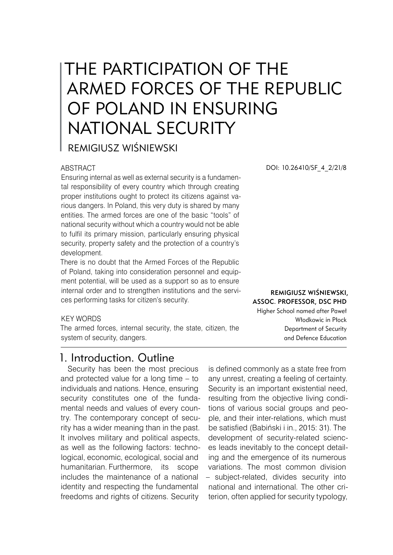# THE PARTICIPATION OF THE ARMED FORCES OF THE REPUBLIC OF POLAND IN ENSURING NATIONAL SECURITY

REMIGIUSZ WIŚNIEWSKI

### ABSTRACT

Ensuring internal as well as external security is a fundamental responsibility of every country which through creating proper institutions ought to protect its citizens against various dangers. In Poland, this very duty is shared by many entities. The armed forces are one of the basic "tools" of national security without which a country would not be able to fulfil its primary mission, particularly ensuring physical security, property safety and the protection of a country's development.

There is no doubt that the Armed Forces of the Republic of Poland, taking into consideration personnel and equipment potential, will be used as a support so as to ensure internal order and to strengthen institutions and the services performing tasks for citizen's security.

DOI: 10.26410/SF\_4\_2/21/8

Remigiusz Wiśniewski, Assoc. Professor, DSc PhD Higher School named after Paweł Włodkowic in Płock

> Department of Security and Defence Education

#### KEY WORDS

The armed forces, internal security, the state, citizen, the system of security, dangers.

## 1. Introduction. Outline

Security has been the most precious and protected value for a long time – to individuals and nations. Hence, ensuring security constitutes one of the fundamental needs and values of every country. The contemporary concept of security has a wider meaning than in the past. It involves military and political aspects, as well as the following factors: technological, economic, ecological, social and humanitarian. Furthermore, its scope includes the maintenance of a national identity and respecting the fundamental freedoms and rights of citizens. Security

is defined commonly as a state free from any unrest, creating a feeling of certainty. Security is an important existential need, resulting from the objective living conditions of various social groups and people, and their inter-relations, which must be satisfied (Babiński i in., 2015: 31). The development of security-related sciences leads inevitably to the concept detailing and the emergence of its numerous variations. The most common division – subject-related, divides security into national and international. The other criterion, often applied for security typology,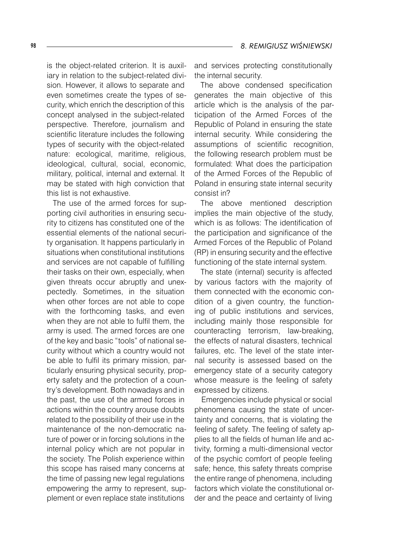is the object-related criterion. It is auxiliary in relation to the subject-related division. However, it allows to separate and even sometimes create the types of security, which enrich the description of this concept analysed in the subject-related perspective. Therefore, journalism and scientific literature includes the following types of security with the object-related nature: ecological, maritime, religious, ideological, cultural, social, economic, military, political, internal and external. It may be stated with high conviction that this list is not exhaustive.

The use of the armed forces for supporting civil authorities in ensuring security to citizens has constituted one of the essential elements of the national security organisation. It happens particularly in situations when constitutional institutions and services are not capable of fulfilling their tasks on their own, especially, when given threats occur abruptly and unexpectedly. Sometimes, in the situation when other forces are not able to cope with the forthcoming tasks, and even when they are not able to fulfil them, the army is used. The armed forces are one of the key and basic "tools" of national security without which a country would not be able to fulfil its primary mission, particularly ensuring physical security, property safety and the protection of a country's development. Both nowadays and in the past, the use of the armed forces in actions within the country arouse doubts related to the possibility of their use in the maintenance of the non-democratic nature of power or in forcing solutions in the internal policy which are not popular in the society. The Polish experience within this scope has raised many concerns at the time of passing new legal regulations empowering the army to represent, supplement or even replace state institutions

and services protecting constitutionally the internal security.

The above condensed specification generates the main objective of this article which is the analysis of the participation of the Armed Forces of the Republic of Poland in ensuring the state internal security. While considering the assumptions of scientific recognition, the following research problem must be formulated: What does the participation of the Armed Forces of the Republic of Poland in ensuring state internal security consist in?

The above mentioned description implies the main objective of the study, which is as follows: The identification of the participation and significance of the Armed Forces of the Republic of Poland (RP) in ensuring security and the effective functioning of the state internal system.

The state (internal) security is affected by various factors with the majority of them connected with the economic condition of a given country, the functioning of public institutions and services, including mainly those responsible for counteracting terrorism, law-breaking, the effects of natural disasters, technical failures, etc. The level of the state internal security is assessed based on the emergency state of a security category whose measure is the feeling of safety expressed by citizens.

Emergencies include physical or social phenomena causing the state of uncertainty and concerns, that is violating the feeling of safety. The feeling of safety applies to all the fields of human life and activity, forming a multi-dimensional vector of the psychic comfort of people feeling safe; hence, this safety threats comprise the entire range of phenomena, including factors which violate the constitutional order and the peace and certainty of living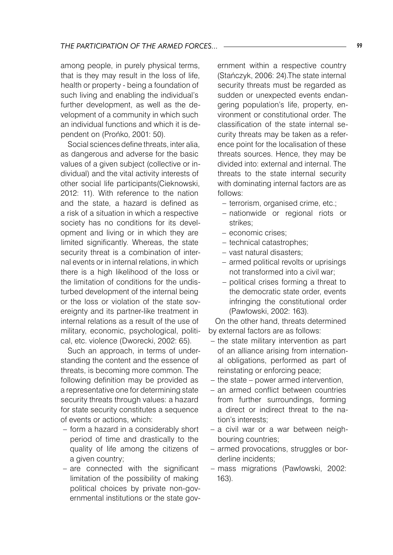among people, in purely physical terms, that is they may result in the loss of life, health or property - being a foundation of such living and enabling the individual's further development, as well as the development of a community in which such an individual functions and which it is dependent on (Prońko, 2001: 50).

Social sciences define threats, inter alia, as dangerous and adverse for the basic values of a given subject (collective or individual) and the vital activity interests of other social life participants(Cieknowski, 2012: 11). With reference to the nation and the state, a hazard is defined as a risk of a situation in which a respective society has no conditions for its development and living or in which they are limited significantly. Whereas, the state security threat is a combination of internal events or in internal relations, in which there is a high likelihood of the loss or the limitation of conditions for the undisturbed development of the internal being or the loss or violation of the state sovereignty and its partner-like treatment in internal relations as a result of the use of military, economic, psychological, political, etc. violence (Dworecki, 2002: 65).

Such an approach, in terms of understanding the content and the essence of threats, is becoming more common. The following definition may be provided as a representative one for determining state security threats through values: a hazard for state security constitutes a sequence of events or actions, which:

- form a hazard in a considerably short period of time and drastically to the quality of life among the citizens of a given country;
- are connected with the significant limitation of the possibility of making political choices by private non-governmental institutions or the state gov-

ernment within a respective country (Stańczyk, 2006: 24).The state internal security threats must be regarded as sudden or unexpected events endangering population's life, property, environment or constitutional order. The classification of the state internal security threats may be taken as a reference point for the localisation of these threats sources. Hence, they may be divided into: external and internal. The threats to the state internal security with dominating internal factors are as follows:

- terrorism, organised crime, etc.;
- nationwide or regional riots or strikes;
- economic crises;
- technical catastrophes;
- vast natural disasters;
- armed political revolts or uprisings not transformed into a civil war;
- political crises forming a threat to the democratic state order, events infringing the constitutional order (Pawłowski, 2002: 163).

On the other hand, threats determined by external factors are as follows:

- the state military intervention as part of an alliance arising from international obligations, performed as part of reinstating or enforcing peace;
- the state power armed intervention,
- an armed conflict between countries from further surroundings, forming a direct or indirect threat to the nation's interests;
- a civil war or a war between neighbouring countries;
- armed provocations, struggles or borderline incidents;
- mass migrations (Pawłowski, 2002: –163).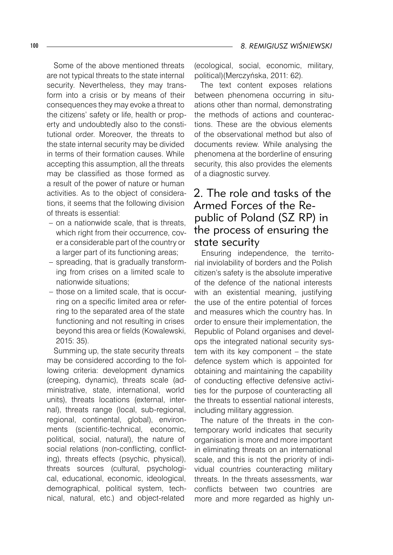100 *8. REMIGIUSZ WIŚNIEWSKI*

Some of the above mentioned threats are not typical threats to the state internal security. Nevertheless, they may transform into a crisis or by means of their consequences they may evoke a threat to the citizens' safety or life, health or property and undoubtedly also to the constitutional order. Moreover, the threats to the state internal security may be divided in terms of their formation causes. While accepting this assumption, all the threats may be classified as those formed as a result of the power of nature or human activities. As to the object of considerations, it seems that the following division of threats is essential:

- on a nationwide scale, that is threats, which right from their occurrence, cover a considerable part of the country or a larger part of its functioning areas;
- spreading, that is gradually transforming from crises on a limited scale to nationwide situations;
- those on a limited scale, that is occurring on a specific limited area or referring to the separated area of the state functioning and not resulting in crises beyond this area or fields (Kowalewski, 2015: 35).

Summing up, the state security threats may be considered according to the following criteria: development dynamics (creeping, dynamic), threats scale (administrative, state, international, world units), threats locations (external, internal), threats range (local, sub-regional, regional, continental, global), environments (scientific-technical, economic, political, social, natural), the nature of social relations (non-conflicting, conflicting), threats effects (psychic, physical), threats sources (cultural, psychological, educational, economic, ideological, demographical, political system, technical, natural, etc.) and object-related

(ecological, social, economic, military, political)(Merczyńska, 2011: 62).

The text content exposes relations between phenomena occurring in situations other than normal, demonstrating the methods of actions and counteractions. These are the obvious elements of the observational method but also of documents review. While analysing the phenomena at the borderline of ensuring security, this also provides the elements of a diagnostic survey.

# 2. The role and tasks of the Armed Forces of the Republic of Poland (SZ RP) in the process of ensuring the state security

Ensuring independence, the territorial inviolability of borders and the Polish citizen's safety is the absolute imperative of the defence of the national interests with an existential meaning, justifying the use of the entire potential of forces and measures which the country has. In order to ensure their implementation, the Republic of Poland organises and develops the integrated national security system with its key component – the state defence system which is appointed for obtaining and maintaining the capability of conducting effective defensive activities for the purpose of counteracting all the threats to essential national interests, including military aggression.

The nature of the threats in the contemporary world indicates that security organisation is more and more important in eliminating threats on an international scale, and this is not the priority of individual countries counteracting military threats. In the threats assessments, war conflicts between two countries are more and more regarded as highly un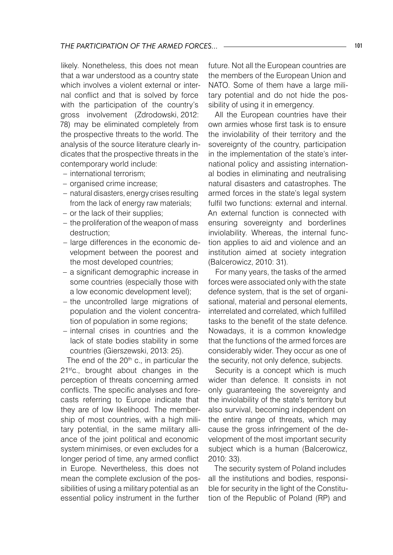likely. Nonetheless, this does not mean that a war understood as a country state which involves a violent external or internal conflict and that is solved by force with the participation of the country's gross involvement (Zdrodowski, 2012: 78) may be eliminated completely from the prospective threats to the world. The analysis of the source literature clearly indicates that the prospective threats in the contemporary world include:

- international terrorism; –
- organised crime increase;
- natural disasters, energy crises resulting from the lack of energy raw materials;
- or the lack of their supplies;
- the proliferation of the weapon of mass destruction;
- large differences in the economic development between the poorest and the most developed countries;
- a significant demographic increase in some countries (especially those with a low economic development level);
- the uncontrolled large migrations of population and the violent concentration of population in some regions;
- internal crises in countries and the lack of state bodies stability in some countries (Gierszewski, 2013: 25).

The end of the  $20<sup>th</sup>$  c., in particular the 21<sup>st</sup>c., brought about changes in the perception of threats concerning armed conflicts. The specific analyses and forecasts referring to Europe indicate that they are of low likelihood. The membership of most countries, with a high military potential, in the same military alliance of the joint political and economic system minimises, or even excludes for a longer period of time, any armed conflict in Europe. Nevertheless, this does not mean the complete exclusion of the possibilities of using a military potential as an essential policy instrument in the further

future. Not all the European countries are the members of the European Union and NATO. Some of them have a large military potential and do not hide the possibility of using it in emergency.

All the European countries have their own armies whose first task is to ensure the inviolability of their territory and the sovereignty of the country, participation in the implementation of the state's international policy and assisting international bodies in eliminating and neutralising natural disasters and catastrophes. The armed forces in the state's legal system fulfil two functions: external and internal. An external function is connected with ensuring sovereignty and borderlines inviolability. Whereas, the internal function applies to aid and violence and an institution aimed at society integration (Balcerowicz, 2010: 31).

For many years, the tasks of the armed forces were associated only with the state defence system, that is the set of organisational, material and personal elements, interrelated and correlated, which fulfilled tasks to the benefit of the state defence. Nowadays, it is a common knowledge that the functions of the armed forces are considerably wider. They occur as one of the security, not only defence, subjects.

Security is a concept which is much wider than defence. It consists in not only guaranteeing the sovereignty and the inviolability of the state's territory but also survival, becoming independent on the entire range of threats, which may cause the gross infringement of the development of the most important security subject which is a human (Balcerowicz, 2010: 33).

The security system of Poland includes all the institutions and bodies, responsible for security in the light of the Constitution of the Republic of Poland (RP) and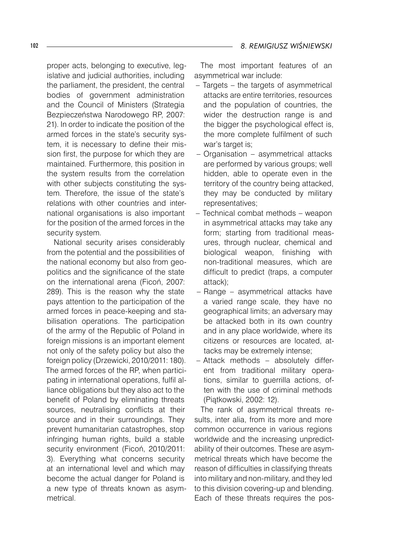proper acts, belonging to executive, legislative and judicial authorities, including the parliament, the president, the central bodies of government administration and the Council of Ministers (Strategia Bezpieczeństwa Narodowego RP, 2007: 21). In order to indicate the position of the armed forces in the state's security system, it is necessary to define their mission first, the purpose for which they are maintained. Furthermore, this position in the system results from the correlation with other subjects constituting the system. Therefore, the issue of the state's relations with other countries and international organisations is also important for the position of the armed forces in the security system.

National security arises considerably from the potential and the possibilities of the national economy but also from geopolitics and the significance of the state on the international arena (Ficoń, 2007: 289). This is the reason why the state pays attention to the participation of the armed forces in peace-keeping and stabilisation operations. The participation of the army of the Republic of Poland in foreign missions is an important element not only of the safety policy but also the foreign policy (Drzewicki, 2010/2011: 180). The armed forces of the RP, when participating in international operations, fulfil alliance obligations but they also act to the benefit of Poland by eliminating threats sources, neutralising conflicts at their source and in their surroundings. They prevent humanitarian catastrophes, stop infringing human rights, build a stable security environment (Ficoń, 2010/2011: 3). Everything what concerns security at an international level and which may become the actual danger for Poland is a new type of threats known as asymmetrical.

The most important features of an asymmetrical war include:

- Targets the targets of asymmetrical attacks are entire territories, resources and the population of countries, the wider the destruction range is and the bigger the psychological effect is, the more complete fulfilment of such war's target is;
- Organisation asymmetrical attacks are performed by various groups; well hidden, able to operate even in the territory of the country being attacked, they may be conducted by military representatives; –
- Technical combat methods weapon in asymmetrical attacks may take any form; starting from traditional measures, through nuclear, chemical and biological weapon, finishing with non-traditional measures, which are difficult to predict (traps, a computer attack); –
- Range asymmetrical attacks have a varied range scale, they have no geographical limits; an adversary may be attacked both in its own country and in any place worldwide, where its citizens or resources are located, attacks may be extremely intense;
- Attack methods absolutely differ-–ent from traditional military operations, similar to guerrilla actions, often with the use of criminal methods (Piątkowski, 2002: 12).

The rank of asymmetrical threats results, inter alia, from its more and more common occurrence in various regions worldwide and the increasing unpredictability of their outcomes. These are asymmetrical threats which have become the reason of difficulties in classifying threats into military and non-military, and they led to this division covering-up and blending. Each of these threats requires the pos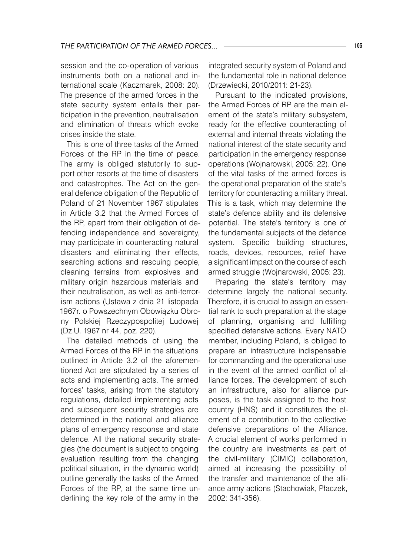session and the co-operation of various instruments both on a national and international scale (Kaczmarek, 2008: 20). The presence of the armed forces in the state security system entails their participation in the prevention, neutralisation and elimination of threats which evoke crises inside the state.

This is one of three tasks of the Armed Forces of the RP in the time of peace. The army is obliged statutorily to support other resorts at the time of disasters and catastrophes. The Act on the general defence obligation of the Republic of Poland of 21 November 1967 stipulates in Article 3.2 that the Armed Forces of the RP, apart from their obligation of defending independence and sovereignty, may participate in counteracting natural disasters and eliminating their effects, searching actions and rescuing people, cleaning terrains from explosives and military origin hazardous materials and their neutralisation, as well as anti-terrorism actions (Ustawa z dnia 21 listopada 1967r. o Powszechnym Obowiązku Obrony Polskiej Rzeczypospolitej Ludowej (Dz.U. 1967 nr 44, poz. 220).

The detailed methods of using the Armed Forces of the RP in the situations outlined in Article 3.2 of the aforementioned Act are stipulated by a series of acts and implementing acts. The armed forces' tasks, arising from the statutory regulations, detailed implementing acts and subsequent security strategies are determined in the national and alliance plans of emergency response and state defence. All the national security strategies (the document is subject to ongoing evaluation resulting from the changing political situation, in the dynamic world) outline generally the tasks of the Armed Forces of the RP, at the same time underlining the key role of the army in the

integrated security system of Poland and the fundamental role in national defence (Drzewiecki, 2010/2011: 21-23).

Pursuant to the indicated provisions, the Armed Forces of RP are the main element of the state's military subsystem, ready for the effective counteracting of external and internal threats violating the national interest of the state security and participation in the emergency response operations (Wojnarowski, 2005: 22). One of the vital tasks of the armed forces is the operational preparation of the state's territory for counteracting a military threat. This is a task, which may determine the state's defence ability and its defensive potential. The state's territory is one of the fundamental subjects of the defence system. Specific building structures, roads, devices, resources, relief have a significant impact on the course of each armed struggle (Wojnarowski, 2005: 23).

Preparing the state's territory may determine largely the national security. Therefore, it is crucial to assign an essential rank to such preparation at the stage of planning, organising and fulfilling specified defensive actions. Every NATO member, including Poland, is obliged to prepare an infrastructure indispensable for commanding and the operational use in the event of the armed conflict of alliance forces. The development of such an infrastructure, also for alliance purposes, is the task assigned to the host country (HNS) and it constitutes the element of a contribution to the collective defensive preparations of the Alliance. A crucial element of works performed in the country are investments as part of the civil-military (CIMIC) collaboration, aimed at increasing the possibility of the transfer and maintenance of the alliance army actions (Stachowiak, Płaczek, 2002: 341-356).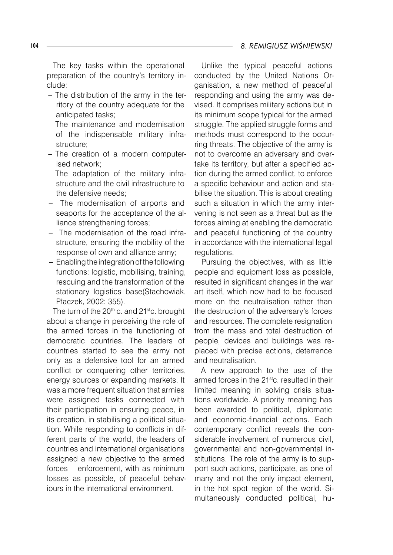The key tasks within the operational preparation of the country's territory include:

- The distribution of the army in the ter-– ritory of the country adequate for the anticipated tasks;
- The maintenance and modernisation of the indispensable military infrastructure;
- The creation of a modern computerised network;
- The adaptation of the military infrastructure and the civil infrastructure to the defensive needs;
- The modernisation of airports and seaports for the acceptance of the alliance strengthening forces;
- The modernisation of the road infra-– structure, ensuring the mobility of the response of own and alliance army;
- Enabling the integration of the following functions: logistic, mobilising, training, rescuing and the transformation of the stationary logistics base(Stachowiak, Płaczek, 2002: 355).

The turn of the 20<sup>th</sup> c. and 21<sup>st</sup>c. brought about a change in perceiving the role of the armed forces in the functioning of democratic countries. The leaders of countries started to see the army not only as a defensive tool for an armed conflict or conquering other territories, energy sources or expanding markets. It was a more frequent situation that armies were assigned tasks connected with their participation in ensuring peace, in its creation, in stabilising a political situation. While responding to conflicts in different parts of the world, the leaders of countries and international organisations assigned a new objective to the armed forces – enforcement, with as minimum losses as possible, of peaceful behaviours in the international environment.

Unlike the typical peaceful actions conducted by the United Nations Organisation, a new method of peaceful responding and using the army was devised. It comprises military actions but in its minimum scope typical for the armed struggle. The applied struggle forms and methods must correspond to the occurring threats. The objective of the army is not to overcome an adversary and overtake its territory, but after a specified action during the armed conflict, to enforce a specific behaviour and action and stabilise the situation. This is about creating such a situation in which the army intervening is not seen as a threat but as the forces aiming at enabling the democratic and peaceful functioning of the country in accordance with the international legal regulations.

Pursuing the objectives, with as little people and equipment loss as possible, resulted in significant changes in the war art itself, which now had to be focused more on the neutralisation rather than the destruction of the adversary's forces and resources. The complete resignation from the mass and total destruction of people, devices and buildings was replaced with precise actions, deterrence and neutralisation.

A new approach to the use of the armed forces in the 21<sup>st</sup>c. resulted in their limited meaning in solving crisis situations worldwide. A priority meaning has been awarded to political, diplomatic and economic-financial actions. Each contemporary conflict reveals the considerable involvement of numerous civil, governmental and non-governmental institutions. The role of the army is to support such actions, participate, as one of many and not the only impact element, in the hot spot region of the world. Simultaneously conducted political, hu-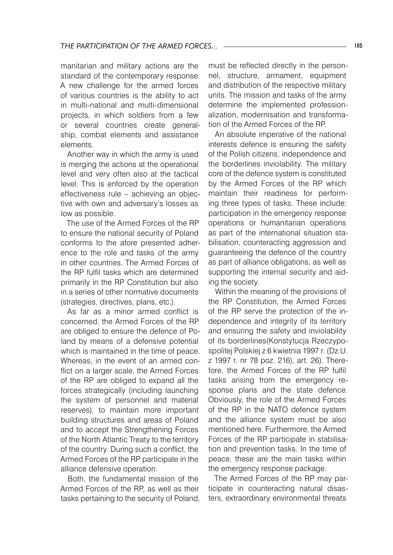manitarian and military actions are the standard of the contemporary response. A new challenge for the armed forces of various countries is the ability to act in multi-national and multi-dimensional projects, in which soldiers from a few or several countries create generalship, combat elements and assistance elements.

Another way in which the army is used is merging the actions at the operational level and very often also at the tactical level. This is enforced by the operation effectiveness rule – achieving an objective with own and adversary's losses as low as possible.

The use of the Armed Forces of the RP to ensure the national security of Poland conforms to the afore presented adherence to the role and tasks of the army in other countries. The Armed Forces of the RP fulfil tasks which are determined primarily in the RP Constitution but also in a series of other normative documents (strategies, directives, plans, etc.).

As far as a minor armed conflict is concerned, the Armed Forces of the RP are obliged to ensure the defence of Poland by means of a defensive potential which is maintained in the time of peace. Whereas, in the event of an armed conflict on a larger scale, the Armed Forces of the RP are obliged to expand all the forces strategically (including launching the system of personnel and material reserves), to maintain more important building structures and areas of Poland and to accept the Strengthening Forces of the North Atlantic Treaty to the territory of the country. During such a conflict, the Armed Forces of the RP participate in the alliance defensive operation.

Both, the fundamental mission of the Armed Forces of the RP, as well as their tasks pertaining to the security of Poland, must be reflected directly in the personnel, structure, armament, equipment and distribution of the respective military units. The mission and tasks of the army determine the implemented professionalization, modernisation and transformation of the Armed Forces of the RP.

An absolute imperative of the national interests defence is ensuring the safety of the Polish citizens, independence and the borderlines inviolability. The military core of the defence system is constituted by the Armed Forces of the RP which maintain their readiness for performing three types of tasks. These include: participation in the emergency response operations or humanitarian operations as part of the international situation stabilisation, counteracting aggression and guaranteeing the defence of the country as part of alliance obligations, as well as supporting the internal security and aiding the society.

Within the meaning of the provisions of the RP Constitution, the Armed Forces of the RP serve the protection of the independence and integrity of its territory and ensuring the safety and inviolability of its borderlines(Konstytucja Rzeczypospolitej Polskiej z 6 kwietnia 1997 r. (Dz.U. z 1997 r. nr 78 poz. 216), art. 26). Therefore, the Armed Forces of the RP fulfil tasks arising from the emergency response plans and the state defence. Obviously, the role of the Armed Forces of the RP in the NATO defence system and the alliance system must be also mentioned here. Furthermore, the Armed Forces of the RP participate in stabilisation and prevention tasks. In the time of peace, these are the main tasks within the emergency response package.

The Armed Forces of the RP may participate in counteracting natural disasters, extraordinary environmental threats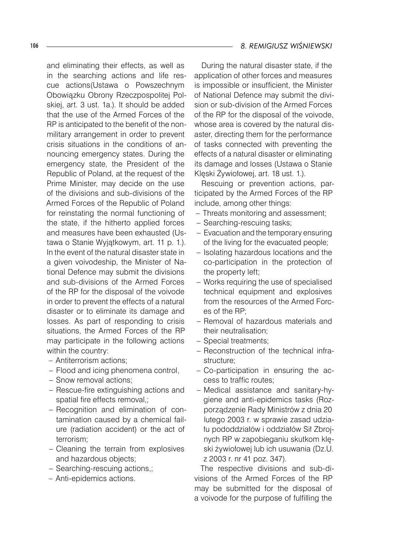and eliminating their effects, as well as in the searching actions and life rescue actions(Ustawa o Powszechnym Obowiązku Obrony Rzeczpospolitej Polskiej, art. 3 ust. 1a.). It should be added that the use of the Armed Forces of the RP is anticipated to the benefit of the nonmilitary arrangement in order to prevent crisis situations in the conditions of announcing emergency states. During the emergency state, the President of the Republic of Poland, at the request of the Prime Minister, may decide on the use of the divisions and sub-divisions of the Armed Forces of the Republic of Poland for reinstating the normal functioning of the state, if the hitherto applied forces and measures have been exhausted (Ustawa o Stanie Wyjątkowym, art. 11 p. 1.). In the event of the natural disaster state in a given voivodeship, the Minister of National Defence may submit the divisions and sub-divisions of the Armed Forces of the RP for the disposal of the voivode in order to prevent the effects of a natural disaster or to eliminate its damage and losses. As part of responding to crisis situations, the Armed Forces of the RP may participate in the following actions within the country:

- Antiterrorism actions; –
- Flood and icing phenomena control, –
- Snow removal actions;
- Rescue-fire extinguishing actions and spatial fire effects removal,;
- Recognition and elimination of contamination caused by a chemical failure (radiation accident) or the act of terrorism;
- Cleaning the terrain from explosives and hazardous objects;
- Searching-rescuing actions,;
- Anti-epidemics actions. –

During the natural disaster state, if the application of other forces and measures is impossible or insufficient, the Minister of National Defence may submit the division or sub-division of the Armed Forces of the RP for the disposal of the voivode, whose area is covered by the natural disaster, directing them for the performance of tasks connected with preventing the effects of a natural disaster or eliminating its damage and losses (Ustawa o Stanie Klęski Żywiołowej, art. 18 ust. 1.).

Rescuing or prevention actions, participated by the Armed Forces of the RP include, among other things:

- Threats monitoring and assessment; –
- Searching-rescuing tasks;
- Evacuation and the temporary ensuring of the living for the evacuated people;
- Isolating hazardous locations and the co-participation in the protection of the property left;
- Works requiring the use of specialised technical equipment and explosives from the resources of the Armed Forces of the RP;
- Removal of hazardous materials and their neutralisation;
- Special treatments;
- Reconstruction of the technical infrastructure;
- Co-participation in ensuring the ac-– cess to traffic routes;
- Medical assistance and sanitary-hy-–giene and anti-epidemics tasks (Rozporządzenie Rady Ministrów z dnia 20 lutego 2003 r. w sprawie zasad udziału pododdziałów i oddziałów Sił Zbrojnych RP w zapobieganiu skutkom klęski żywiołowej lub ich usuwania (Dz.U. z 2003 r. nr 41 poz. 347).

The respective divisions and sub-divisions of the Armed Forces of the RP may be submitted for the disposal of a voivode for the purpose of fulfilling the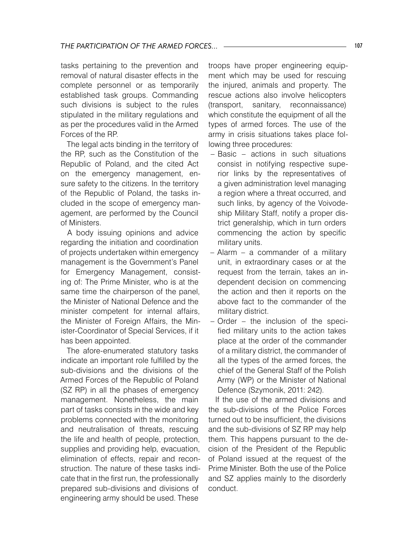tasks pertaining to the prevention and removal of natural disaster effects in the complete personnel or as temporarily established task groups. Commanding such divisions is subject to the rules stipulated in the military regulations and as per the procedures valid in the Armed Forces of the RP.

The legal acts binding in the territory of the RP, such as the Constitution of the Republic of Poland, and the cited Act on the emergency management, ensure safety to the citizens. In the territory of the Republic of Poland, the tasks included in the scope of emergency management, are performed by the Council of Ministers.

A body issuing opinions and advice regarding the initiation and coordination of projects undertaken within emergency management is the Government's Panel for Emergency Management, consisting of: The Prime Minister, who is at the same time the chairperson of the panel, the Minister of National Defence and the minister competent for internal affairs, the Minister of Foreign Affairs, the Minister-Coordinator of Special Services, if it has been appointed.

The afore-enumerated statutory tasks indicate an important role fulfilled by the sub-divisions and the divisions of the Armed Forces of the Republic of Poland (SZ RP) in all the phases of emergency management. Nonetheless, the main part of tasks consists in the wide and key problems connected with the monitoring and neutralisation of threats, rescuing the life and health of people, protection, supplies and providing help, evacuation, elimination of effects, repair and reconstruction. The nature of these tasks indicate that in the first run, the professionally prepared sub-divisions and divisions of engineering army should be used. These

troops have proper engineering equipment which may be used for rescuing the injured, animals and property. The rescue actions also involve helicopters (transport, sanitary, reconnaissance) which constitute the equipment of all the types of armed forces. The use of the army in crisis situations takes place following three procedures:

- Basic actions in such situations consist in notifying respective superior links by the representatives of a given administration level managing a region where a threat occurred, and such links, by agency of the Voivodeship Military Staff, notify a proper district generalship, which in turn orders commencing the action by specific military units.
- Alarm a commander of a military unit, in extraordinary cases or at the request from the terrain, takes an independent decision on commencing the action and then it reports on the above fact to the commander of the military district.
- Order the inclusion of the speci-–fied military units to the action takes place at the order of the commander of a military district, the commander of all the types of the armed forces, the chief of the General Staff of the Polish Army (WP) or the Minister of National Defence (Szymonik, 2011: 242).

If the use of the armed divisions and the sub-divisions of the Police Forces turned out to be insufficient, the divisions and the sub-divisions of SZ RP may help them. This happens pursuant to the decision of the President of the Republic of Poland issued at the request of the Prime Minister. Both the use of the Police and SZ applies mainly to the disorderly conduct.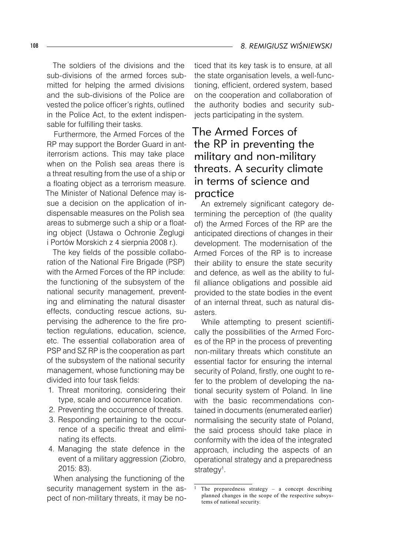The soldiers of the divisions and the sub-divisions of the armed forces submitted for helping the armed divisions and the sub-divisions of the Police are vested the police officer's rights, outlined in the Police Act, to the extent indispensable for fulfilling their tasks.

Furthermore, the Armed Forces of the RP may support the Border Guard in antiterrorism actions. This may take place when on the Polish sea areas there is a threat resulting from the use of a ship or a floating object as a terrorism measure. The Minister of National Defence may issue a decision on the application of indispensable measures on the Polish sea areas to submerge such a ship or a floating object (Ustawa o Ochronie Żeglugi i Portów Morskich z 4 sierpnia 2008 r.).

The key fields of the possible collaboration of the National Fire Brigade (PSP) with the Armed Forces of the RP include: the functioning of the subsystem of the national security management, preventing and eliminating the natural disaster effects, conducting rescue actions, supervising the adherence to the fire protection regulations, education, science, etc. The essential collaboration area of PSP and SZ RP is the cooperation as part of the subsystem of the national security management, whose functioning may be divided into four task fields:

- 1. Threat monitoring, considering their type, scale and occurrence location.
- 2. Preventing the occurrence of threats.
- 3. Responding pertaining to the occurrence of a specific threat and eliminating its effects.
- 4. Managing the state defence in the event of a military aggression (Ziobro, 2015: 83).

When analysing the functioning of the security management system in the aspect of non-military threats, it may be no-

ticed that its key task is to ensure, at all the state organisation levels, a well-functioning, efficient, ordered system, based on the cooperation and collaboration of the authority bodies and security subjects participating in the system.

# The Armed Forces of the RP in preventing the military and non-military threats. A security climate in terms of science and practice

An extremely significant category determining the perception of (the quality of) the Armed Forces of the RP are the anticipated directions of changes in their development. The modernisation of the Armed Forces of the RP is to increase their ability to ensure the state security and defence, as well as the ability to fulfil alliance obligations and possible aid provided to the state bodies in the event of an internal threat, such as natural disasters.

While attempting to present scientifically the possibilities of the Armed Forces of the RP in the process of preventing non-military threats which constitute an essential factor for ensuring the internal security of Poland, firstly, one ought to refer to the problem of developing the national security system of Poland. In line with the basic recommendations contained in documents (enumerated earlier) normalising the security state of Poland, the said process should take place in conformity with the idea of the integrated approach, including the aspects of an operational strategy and a preparedness strategy<sup>1</sup>.

#### 108 *8. REMIGIUSZ WIŚNIEWSKI*

<sup>&</sup>lt;sup>1</sup> The preparedness strategy – a concept describing planned changes in the scope of the respective subsystems of national security.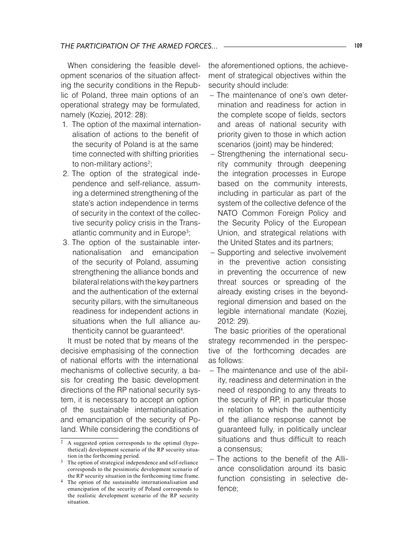When considering the feasible development scenarios of the situation affecting the security conditions in the Republic of Poland, three main options of an operational strategy may be formulated, namely (Koziej, 2012: 28):

- 1. The option of the maximal internationalisation of actions to the benefit of the security of Poland is at the same time connected with shifting priorities to non-military actions<sup>2</sup>;
- 2. The option of the strategical independence and self-reliance, assuming a determined strengthening of the state's action independence in terms of security in the context of the collective security policy crisis in the Transatlantic community and in Europe<sup>3</sup>;
- 3. The option of the sustainable internationalisation and emancipation of the security of Poland, assuming strengthening the alliance bonds and bilateral relations with the key partners and the authentication of the external security pillars, with the simultaneous readiness for independent actions in situations when the full alliance authenticity cannot be guaranteed<sup>4</sup>.

It must be noted that by means of the decisive emphasising of the connection of national efforts with the international mechanisms of collective security, a basis for creating the basic development directions of the RP national security system, it is necessary to accept an option of the sustainable internationalisation and emancipation of the security of Poland. While considering the conditions of

the aforementioned options, the achievement of strategical objectives within the security should include:

- The maintenance of one's own deter-– mination and readiness for action in the complete scope of fields, sectors and areas of national security with priority given to those in which action scenarios (joint) may be hindered;
- Strengthening the international security community through deepening the integration processes in Europe based on the community interests, including in particular as part of the system of the collective defence of the NATO Common Foreign Policy and the Security Policy of the European Union, and strategical relations with the United States and its partners;
- Supporting and selective involvement in the preventive action consisting in preventing the occurrence of new threat sources or spreading of the already existing crises in the beyondregional dimension and based on the legible international mandate (Koziej, 2012: 29).

The basic priorities of the operational strategy recommended in the perspective of the forthcoming decades are as follows:

- The maintenance and use of the abil-– ity, readiness and determination in the need of responding to any threats to the security of RP, in particular those in relation to which the authenticity of the alliance response cannot be guaranteed fully, in politically unclear situations and thus difficult to reach a consensus;
- The actions to the benefit of the Alli-–ance consolidation around its basic function consisting in selective defence;

A suggested option corresponds to the optimal (hypothetical) development scenario of the RP security situation in the forthcoming period.

 $3$  The option of strategical independence and self-reliance corresponds to the pessimistic development scenario of the RP security situation in the forthcoming time frame.

<sup>&</sup>lt;sup>4</sup> The option of the sustainable internationalisation and emancipation of the security of Poland corresponds to the realistic development scenario of the RP security situation.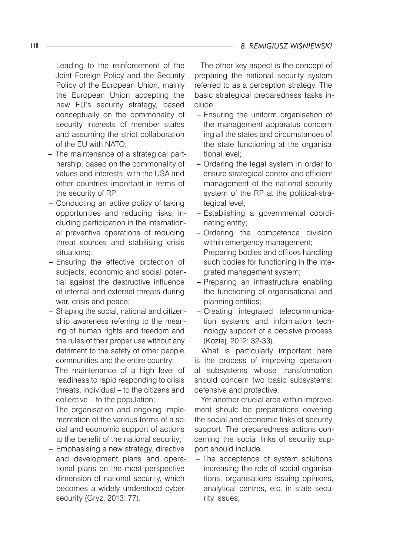- Leading to the reinforcement of the Joint Foreign Policy and the Security Policy of the European Union, mainly the European Union accepting the new EU's security strategy, based conceptually on the commonality of security interests of member states and assuming the strict collaboration of the EU with NATO;
- The maintenance of a strategical partnership, based on the commonality of values and interests, with the USA and other countries important in terms of the security of RP;
- Conducting an active policy of taking opportunities and reducing risks, including participation in the international preventive operations of reducing threat sources and stabilising crisis situations;
- Ensuring the effective protection of subjects, economic and social potential against the destructive influence of internal and external threats during war, crisis and peace;
- Shaping the social, national and citizenship awareness referring to the meaning of human rights and freedom and the rules of their proper use without any detriment to the safety of other people, communities and the entire country;
- The maintenance of a high level of readiness to rapid responding to crisis threats, individual – to the citizens and collective – to the population;
- The organisation and ongoing imple-– mentation of the various forms of a social and economic support of actions to the benefit of the national security;
- Emphasising a new strategy, directive and development plans and operational plans on the most perspective dimension of national security, which becomes a widely understood cybersecurity (Gryz, 2013: 77).

The other key aspect is the concept of preparing the national security system referred to as a perception strategy. The basic strategical preparedness tasks include:

- Ensuring the uniform organisation of the management apparatus concerning all the states and circumstances of the state functioning at the organisational level;
- Ordering the legal system in order to ensure strategical control and efficient management of the national security system of the RP at the political-strategical level;
- Establishing a governmental coordi-– nating entity;
- Ordering the competence division within emergency management;
- Preparing bodies and offices handling such bodies for functioning in the integrated management system;
- Preparing an infrastructure enabling the functioning of organisational and planning entities;
- Creating integrated telecommunica-– tion systems and information technology support of a decisive process (Koziej, 2012: 32-33).

What is particularly important here is the process of improving operational subsystems whose transformation should concern two basic subsystems: defensive and protective.

Yet another crucial area within improvement should be preparations covering the social and economic links of security support. The preparedness actions concerning the social links of security support should include:

- The acceptance of system solutions increasing the role of social organisations, organisations issuing opinions, analytical centres, etc. in state security issues;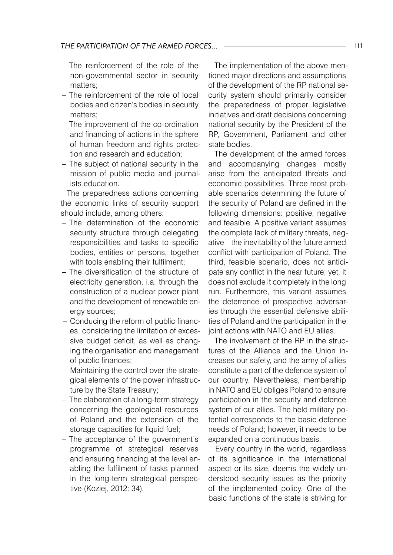- $-$  The reinforcement of the role of the non-governmental sector in security matters;
- The reinforcement of the role of local bodies and citizen's bodies in security matters;
- The improvement of the co-ordination and financing of actions in the sphere of human freedom and rights protection and research and education;
- The subject of national security in the mission of public media and journalists education.

The preparedness actions concerning the economic links of security support should include, among others:

- The determination of the economic security structure through delegating responsibilities and tasks to specific bodies, entities or persons, together with tools enabling their fulfilment;
- The diversification of the structure of electricity generation, i.a. through the construction of a nuclear power plant and the development of renewable energy sources;
- Conducing the reform of public financ-– es, considering the limitation of excessive budget deficit, as well as changing the organisation and management of public finances;
- Maintaining the control over the strate-– gical elements of the power infrastructure by the State Treasury;
- The elaboration of a long-term strategy concerning the geological resources of Poland and the extension of the storage capacities for liquid fuel;
- The acceptance of the government's programme of strategical reserves and ensuring financing at the level enabling the fulfilment of tasks planned in the long-term strategical perspective (Koziej, 2012: 34).

The implementation of the above mentioned major directions and assumptions of the development of the RP national security system should primarily consider the preparedness of proper legislative initiatives and draft decisions concerning national security by the President of the RP, Government, Parliament and other state bodies.

The development of the armed forces and accompanying changes mostly arise from the anticipated threats and economic possibilities. Three most probable scenarios determining the future of the security of Poland are defined in the following dimensions: positive, negative and feasible. A positive variant assumes the complete lack of military threats, negative – the inevitability of the future armed conflict with participation of Poland. The third, feasible scenario, does not anticipate any conflict in the near future; yet, it does not exclude it completely in the long run. Furthermore, this variant assumes the deterrence of prospective adversaries through the essential defensive abilities of Poland and the participation in the joint actions with NATO and EU allies.

The involvement of the RP in the structures of the Alliance and the Union increases our safety, and the army of allies constitute a part of the defence system of our country. Nevertheless, membership in NATO and EU obliges Poland to ensure participation in the security and defence system of our allies. The held military potential corresponds to the basic defence needs of Poland; however, it needs to be expanded on a continuous basis.

Every country in the world, regardless of its significance in the international aspect or its size, deems the widely understood security issues as the priority of the implemented policy. One of the basic functions of the state is striving for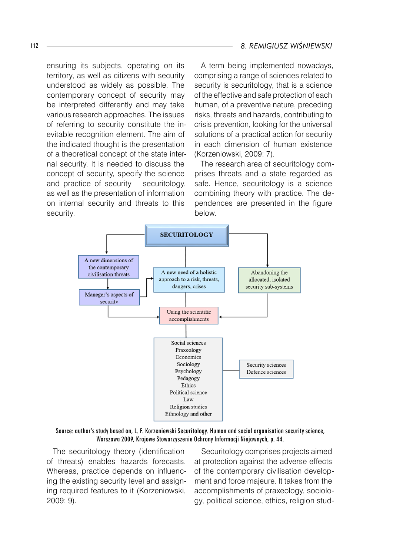ensuring its subjects, operating on its territory, as well as citizens with security understood as widely as possible. The contemporary concept of security may be interpreted differently and may take various research approaches. The issues of referring to security constitute the inevitable recognition element. The aim of the indicated thought is the presentation of a theoretical concept of the state internal security. It is needed to discuss the concept of security, specify the science and practice of security – securitology, as well as the presentation of information on internal security and threats to this security.

A term being implemented nowadays, comprising a range of sciences related to security is securitology, that is a science of the effective and safe protection of each human, of a preventive nature, preceding risks, threats and hazards, contributing to crisis prevention, looking for the universal solutions of a practical action for security in each dimension of human existence (Korzeniowski, 2009: 7).

The research area of securitology comprises threats and a state regarded as safe. Hence, securitology is a science combining theory with practice. The dependences are presented in the figure below.



Source: author's study based on, L. F. Korzeniewski Securitology. Human and social organisation security science, Warszawa 2009, Krajowe Stowarzyszenie Ochrony Informacji Niejawnych, p. 44.

The securitology theory (identification of threats) enables hazards forecasts. Whereas, practice depends on influencing the existing security level and assigning required features to it (Korzeniowski, 2009: 9).

Securitology comprises projects aimed at protection against the adverse effects of the contemporary civilisation development and force majeure. It takes from the accomplishments of praxeology, sociology, political science, ethics, religion stud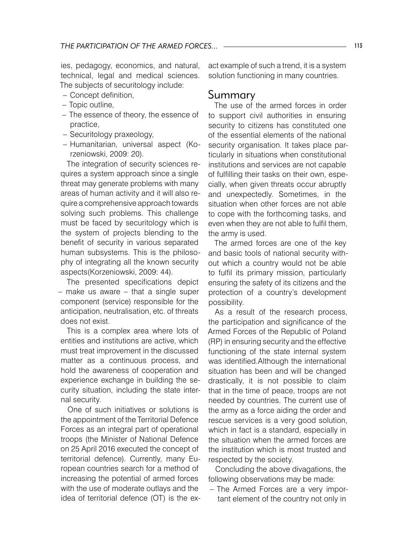ies, pedagogy, economics, and natural, technical, legal and medical sciences. The subjects of securitology include:

- Concept definition, –
- Topic outline,
- The essence of theory, the essence of practice,
- Securitology praxeology,
- Humanitarian, universal aspect (Korzeniowski, 2009: 20).

The integration of security sciences requires a system approach since a single threat may generate problems with many areas of human activity and it will also require a comprehensive approach towards solving such problems. This challenge must be faced by securitology which is the system of projects blending to the benefit of security in various separated human subsystems. This is the philosophy of integrating all the known security aspects(Korzeniowski, 2009: 44).

The presented specifications depict – make us aware – that a single super component (service) responsible for the anticipation, neutralisation, etc. of threats does not exist.

This is a complex area where lots of entities and institutions are active, which must treat improvement in the discussed matter as a continuous process, and hold the awareness of cooperation and experience exchange in building the security situation, including the state internal security.

One of such initiatives or solutions is the appointment of the Territorial Defence Forces as an integral part of operational troops (the Minister of National Defence on 25 April 2016 executed the concept of territorial defence). Currently, many European countries search for a method of increasing the potential of armed forces with the use of moderate outlays and the idea of territorial defence (OT) is the exact example of such a trend, it is a system solution functioning in many countries.

## Summary

The use of the armed forces in order to support civil authorities in ensuring security to citizens has constituted one of the essential elements of the national security organisation. It takes place particularly in situations when constitutional institutions and services are not capable of fulfilling their tasks on their own, especially, when given threats occur abruptly and unexpectedly. Sometimes, in the situation when other forces are not able to cope with the forthcoming tasks, and even when they are not able to fulfil them, the army is used.

The armed forces are one of the key and basic tools of national security without which a country would not be able to fulfil its primary mission, particularly ensuring the safety of its citizens and the protection of a country's development possibility.

As a result of the research process, the participation and significance of the Armed Forces of the Republic of Poland (RP) in ensuring security and the effective functioning of the state internal system was identified.Although the international situation has been and will be changed drastically, it is not possible to claim that in the time of peace, troops are not needed by countries. The current use of the army as a force aiding the order and rescue services is a very good solution, which in fact is a standard, especially in the situation when the armed forces are the institution which is most trusted and respected by the society.

Concluding the above divagations, the following observations may be made:

- The Armed Forces are a very important element of the country not only in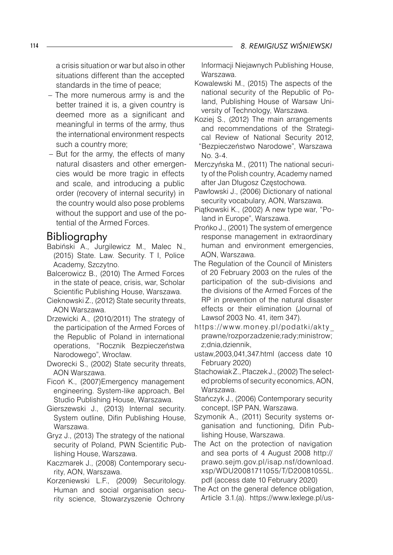a crisis situation or war but also in other situations different than the accepted standards in the time of peace;

- The more numerous army is and the better trained it is, a given country is deemed more as a significant and meaningful in terms of the army, thus the international environment respects such a country more;
- But for the army, the effects of many natural disasters and other emergencies would be more tragic in effects and scale, and introducing a public order (recovery of internal security) in the country would also pose problems without the support and use of the potential of the Armed Forces.

## Bibliography

- Babiński A., Jurgilewicz M., Malec N., (2015) State. Law. Security. T I, Police Academy, Szczytno.
- Balcerowicz B., (2010) The Armed Forces in the state of peace, crisis, war, Scholar Scientific Publishing House, Warszawa.
- Cieknowski Z., (2012) State security threats, AON Warszawa.
- Drzewicki A., (2010/2011) The strategy of the participation of the Armed Forces of the Republic of Poland in international operations, "Rocznik Bezpieczeństwa Narodowego", Wrocław.
- Dworecki S., (2002) State security threats, AON Warszawa.
- Ficoń K., (2007)Emergency management engineering. System-like approach, Bel Studio Publishing House, Warszawa.
- Gierszewski J., (2013) Internal security. System outline, Difin Publishing House, Warszawa.
- Gryz J., (2013) The strategy of the national security of Poland, PWN Scientific Publishing House, Warszawa.
- Kaczmarek J., (2008) Contemporary security, AON, Warszawa.
- Korzeniewski L.F., (2009) Securitology. Human and social organisation security science, Stowarzyszenie Ochrony

Informacji Niejawnych Publishing House, Warszawa.

- Kowalewski M., (2015) The aspects of the national security of the Republic of Poland, Publishing House of Warsaw University of Technology, Warszawa.
- Koziej S., (2012) The main arrangements and recommendations of the Strategical Review of National Security 2012, "Bezpieczeństwo Narodowe", Warszawa No. 3-4.
- Merczyńska M., (2011) The national security of the Polish country, Academy named after Jan Długosz Częstochowa.
- Pawłowski J., (2006) Dictionary of national security vocabulary, AON, Warszawa.
- Piątkowski K., (2002) A new type war, "Poland in Europe", Warszawa.
- Prońko J., (2001) The system of emergence response management in extraordinary human and environment emergencies, AON, Warszawa.
- The Regulation of the Council of Ministers of 20 February 2003 on the rules of the participation of the sub-divisions and the divisions of the Armed Forces of the RP in prevention of the natural disaster effects or their elimination (Journal of Lawsof 2003 No. 41, item 347).
- https://www.money.pl/podatki/akty prawne/rozporzadzenie;rady;ministrow; z;dnia,dziennik,
- ustaw,2003,041,347.html (access date 10 February 2020)
- Stachowiak Z., Płaczek J., (2002) The selected problems of security economics, AON, Warszawa.
- Stańczyk J., (2006) Contemporary security concept, ISP PAN, Warszawa.
- Szymonik A., (2011) Security systems organisation and functioning, Difin Publishing House, Warszawa.
- The Act on the protection of navigation and sea ports of 4 August 2008 http:// prawo.sejm.gov.pl/isap.nsf/download. xsp/WDU20081711055/T/D20081055L. pdf (access date 10 February 2020)
- The Act on the general defence obligation, Article 3.1.(a). https://www.lexlege.pl/us-